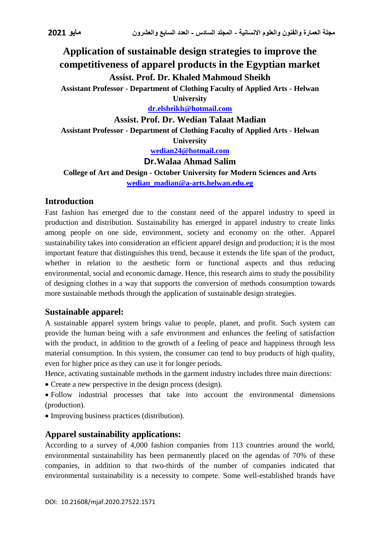# **Application of sustainable design strategies to improve the competitiveness of apparel products in the Egyptian market Assist. Prof. Dr. Khaled Mahmoud Sheikh**

**Assistant Professor - Department of Clothing Faculty of Applied Arts - Helwan University**

**[dr.elsheikh@hotmail.com](mailto:dr.elsheikh@hotmail.com)**

**Assist. Prof. Dr. Wedian Talaat Madian**

**Assistant Professor - Department of Clothing Faculty of Applied Arts - Helwan** 

**University**

**[wedian24@hotmail.com](mailto:wedian24@hotmail.com)**

#### **Dr.Walaa Ahmad Salim**

**College of Art and Design - October University for Modern Sciences and Arts [wedian\\_madian@a-arts.helwan.edu.eg](mailto:WEDIAN_MADIAN@a-arts.helwan.edu.eg)**

#### **Introduction**

Fast fashion has emerged due to the constant need of the apparel industry to speed in production and distribution. Sustainability has emerged in apparel industry to create links among people on one side, environment, society and economy on the other. Apparel sustainability takes into consideration an efficient apparel design and production; it is the most important feature that distinguishes this trend, because it extends the life span of the product, whether in relation to the aesthetic form or functional aspects and thus reducing environmental, social and economic damage. Hence, this research aims to study the possibility of designing clothes in a way that supports the conversion of methods consumption towards more sustainable methods through the application of sustainable design strategies.

#### **Sustainable apparel:**

A sustainable apparel system brings value to people, planet, and profit. Such system can provide the human being with a safe environment and enhances the feeling of satisfaction with the product, in addition to the growth of a feeling of peace and happiness through less material consumption. In this system, the consumer can tend to buy products of high quality, even for higher price as they can use it for longer periods.

Hence, activating sustainable methods in the garment industry includes three main directions:

Create a new perspective in the design process (design).

 Follow industrial processes that take into account the environmental dimensions (production).

Improving business practices (distribution).

### **Apparel sustainability applications:**

According to a survey of 4,000 fashion companies from 113 countries around the world, environmental sustainability has been permanently placed on the agendas of 70% of these companies, in addition to that two-thirds of the number of companies indicated that environmental sustainability is a necessity to compete. Some well-established brands have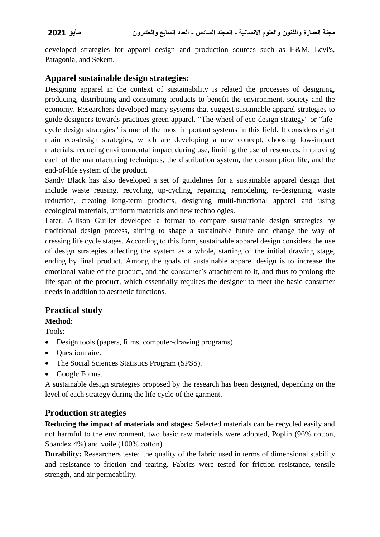developed strategies for apparel design and production sources such as H&M, Levi's, Patagonia, and Sekem.

# **Apparel sustainable design strategies:**

Designing apparel in the context of sustainability is related the processes of designing, producing, distributing and consuming products to benefit the environment, society and the economy. Researchers developed many systems that suggest sustainable apparel strategies to guide designers towards practices green apparel. "The wheel of eco-design strategy" or "lifecycle design strategies" is one of the most important systems in this field. It considers eight main eco-design strategies, which are developing a new concept, choosing low-impact materials, reducing environmental impact during use, limiting the use of resources, improving each of the manufacturing techniques, the distribution system, the consumption life, and the end-of-life system of the product.

Sandy Black has also developed a set of guidelines for a sustainable apparel design that include waste reusing, recycling, up-cycling, repairing, remodeling, re-designing, waste reduction, creating long-term products, designing multi-functional apparel and using ecological materials, uniform materials and new technologies.

Later, Allison Guillet developed a format to compare sustainable design strategies by traditional design process, aiming to shape a sustainable future and change the way of dressing life cycle stages. According to this form, sustainable apparel design considers the use of design strategies affecting the system as a whole, starting of the initial drawing stage, ending by final product. Among the goals of sustainable apparel design is to increase the emotional value of the product, and the consumer's attachment to it, and thus to prolong the life span of the product, which essentially requires the designer to meet the basic consumer needs in addition to aesthetic functions.

# **Practical study**

**Method:**

Tools:

- Design tools (papers, films, computer-drawing programs).
- Ouestionnaire.
- The Social Sciences Statistics Program (SPSS).
- Google Forms.

A sustainable design strategies proposed by the research has been designed, depending on the level of each strategy during the life cycle of the garment.

# **Production strategies**

**Reducing the impact of materials and stages:** Selected materials can be recycled easily and not harmful to the environment, two basic raw materials were adopted, Poplin (96% cotton, Spandex 4%) and voile (100% cotton).

**Durability:** Researchers tested the quality of the fabric used in terms of dimensional stability and resistance to friction and tearing. Fabrics were tested for friction resistance, tensile strength, and air permeability.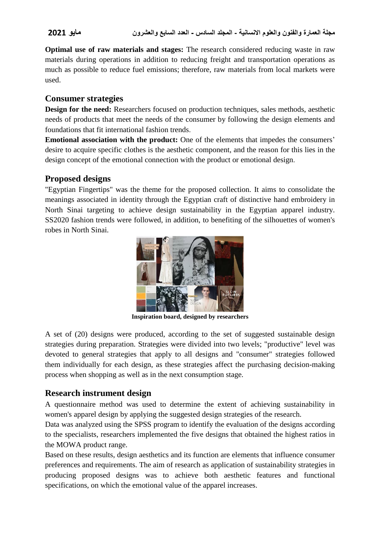**Optimal use of raw materials and stages:** The research considered reducing waste in raw materials during operations in addition to reducing freight and transportation operations as much as possible to reduce fuel emissions; therefore, raw materials from local markets were used.

#### **Consumer strategies**

**Design for the need:** Researchers focused on production techniques, sales methods, aesthetic needs of products that meet the needs of the consumer by following the design elements and foundations that fit international fashion trends.

**Emotional association with the product:** One of the elements that impedes the consumers' desire to acquire specific clothes is the aesthetic component, and the reason for this lies in the design concept of the emotional connection with the product or emotional design.

### **Proposed designs**

"Egyptian Fingertips" was the theme for the proposed collection. It aims to consolidate the meanings associated in identity through the Egyptian craft of distinctive hand embroidery in North Sinai targeting to achieve design sustainability in the Egyptian apparel industry. SS2020 fashion trends were followed, in addition, to benefiting of the silhouettes of women's robes in North Sinai.



**Inspiration board, designed by researchers**

A set of (20) designs were produced, according to the set of suggested sustainable design strategies during preparation. Strategies were divided into two levels; "productive" level was devoted to general strategies that apply to all designs and "consumer" strategies followed them individually for each design, as these strategies affect the purchasing decision-making process when shopping as well as in the next consumption stage.

### **Research instrument design**

A questionnaire method was used to determine the extent of achieving sustainability in women's apparel design by applying the suggested design strategies of the research.

Data was analyzed using the SPSS program to identify the evaluation of the designs according to the specialists, researchers implemented the five designs that obtained the highest ratios in the MOWA product range.

Based on these results, design aesthetics and its function are elements that influence consumer preferences and requirements. The aim of research as application of sustainability strategies in producing proposed designs was to achieve both aesthetic features and functional specifications, on which the emotional value of the apparel increases.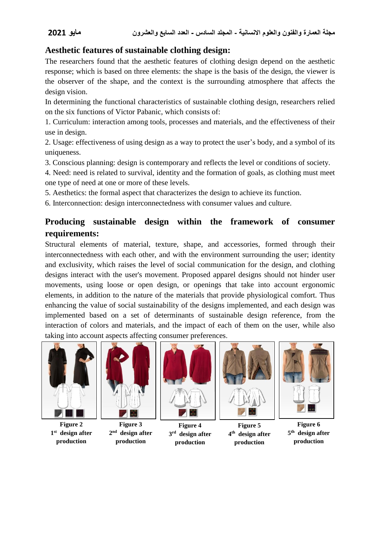# **Aesthetic features of sustainable clothing design:**

The researchers found that the aesthetic features of clothing design depend on the aesthetic response; which is based on three elements: the shape is the basis of the design, the viewer is the observer of the shape, and the context is the surrounding atmosphere that affects the design vision.

In determining the functional characteristics of sustainable clothing design, researchers relied on the six functions of Victor Pabanic, which consists of:

1. Curriculum: interaction among tools, processes and materials, and the effectiveness of their use in design.

2. Usage: effectiveness of using design as a way to protect the user's body, and a symbol of its uniqueness.

3. Conscious planning: design is contemporary and reflects the level or conditions of society.

4. Need: need is related to survival, identity and the formation of goals, as clothing must meet one type of need at one or more of these levels.

5. Aesthetics: the formal aspect that characterizes the design to achieve its function.

6. Interconnection: design interconnectedness with consumer values and culture.

# **Producing sustainable design within the framework of consumer requirements:**

Structural elements of material, texture, shape, and accessories, formed through their interconnectedness with each other, and with the environment surrounding the user; identity and exclusivity, which raises the level of social communication for the design, and clothing designs interact with the user's movement. Proposed apparel designs should not hinder user movements, using loose or open design, or openings that take into account ergonomic elements, in addition to the nature of the materials that provide physiological comfort. Thus enhancing the value of social sustainability of the designs implemented, and each design was implemented based on a set of determinants of sustainable design reference, from the interaction of colors and materials, and the impact of each of them on the user, while also taking into account aspects affecting consumer preferences.



**Figure 2**  $1<sup>st</sup>$  **design** after **production**



**Figure 3**  $2<sup>nd</sup>$  **design** after **production**



**Figure 4**  $3<sup>rd</sup>$  design after **production**



**Figure 5 design after th 4 production**



**Figure 6**  $5<sup>th</sup>$  design after **production**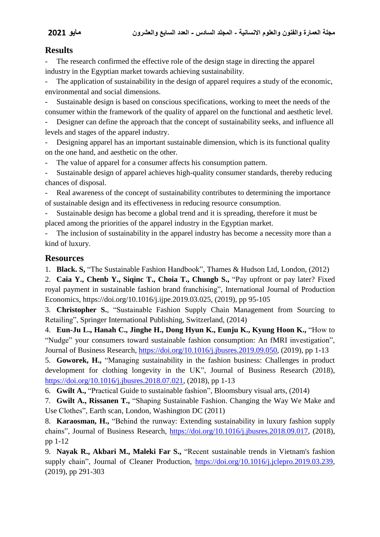#### **Results**

The research confirmed the effective role of the design stage in directing the apparel industry in the Egyptian market towards achieving sustainability.

The application of sustainability in the design of apparel requires a study of the economic, environmental and social dimensions.

Sustainable design is based on conscious specifications, working to meet the needs of the consumer within the framework of the quality of apparel on the functional and aesthetic level.

Designer can define the approach that the concept of sustainability seeks, and influence all levels and stages of the apparel industry.

Designing apparel has an important sustainable dimension, which is its functional quality on the one hand, and aesthetic on the other.

- The value of apparel for a consumer affects his consumption pattern.

- Sustainable design of apparel achieves high-quality consumer standards, thereby reducing chances of disposal.

Real awareness of the concept of sustainability contributes to determining the importance of sustainable design and its effectiveness in reducing resource consumption.

Sustainable design has become a global trend and it is spreading, therefore it must be placed among the priorities of the apparel industry in the Egyptian market.

The inclusion of sustainability in the apparel industry has become a necessity more than a kind of luxury.

#### **Resources**

1. **Black. S,** "The Sustainable Fashion Handbook", Thames & Hudson Ltd, London, (2012)

2. **Caia Y., Chenb Y., Siqinc T., Choia T., Chungb S.,** "Pay upfront or pay later? Fixed royal payment in sustainable fashion brand franchising", International Journal of Production Economics, [https://doi.org/10.1016/j.ijpe.2019.03.025,](https://doi.org/10.1016/j.ijpe.2019.03.025) (2019), pp 95-105

3. **Christopher S.**, "Sustainable Fashion Supply Chain Management from Sourcing to Retailing", Springer International Publishing, Switzerland, (2014)

4. **Eun-Ju L., Hanah C., Jinghe H., Dong Hyun K., Eunju K., Kyung Hoon K.,** "How to "Nudge" your consumers toward sustainable fashion consumption: An fMRI investigation", Journal of Business Research, [https://doi.org/10.1016/j.jbusres.2019.09.050,](https://doi.org/10.1016/j.jbusres.2019.09.050) (2019), pp 1-13

5. **Goworek, H.,** "Managing sustainability in the fashion business: Challenges in product development for clothing longevity in the UK", Journal of Business Research (2018), [https://doi.org/10.1016/j.jbusres.2018.07.021,](https://doi.org/10.1016/j.jbusres.2018.07.021) (2018), pp 1-13

6. **Gwilt A.,** "Practical Guide to sustainable fashion", Bloomsbury visual arts, (2014)

7. **Gwilt A., Rissanen T.,** "Shaping Sustainable Fashion. Changing the Way We Make and Use Clothes", Earth scan, London, Washington DC (2011)

8. **Karaosman, H.,** "Behind the runway: Extending sustainability in luxury fashion supply chains", Journal of Business Research, [https://doi.org/10.1016/j.jbusres.2018.09.017,](https://doi.org/10.1016/j.jbusres.2018.09.017) (2018), pp 1-12

9. **Nayak R., Akbari M., Maleki Far S.,** "Recent sustainable trends in Vietnam's fashion supply chain", Journal of Cleaner Production, [https://doi.org/10.1016/j.jclepro.2019.03.239,](https://doi.org/10.1016/j.jclepro.2019.03.239) (2019), pp 291-303